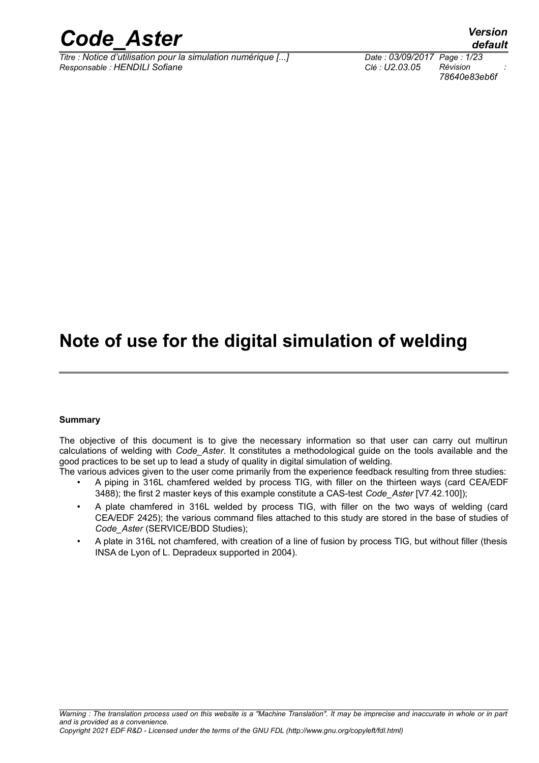

*Titre : Notice d'utilisation pour la simulation numérique [...] Date : 03/09/2017 Page : 1/23 Responsable : HENDILI Sofiane Clé : U2.03.05 Révision :*

# *78640e83eb6f*

*default*

# **Note of use for the digital simulation of welding**

#### **Summary**

The objective of this document is to give the necessary information so that user can carry out multirun calculations of welding with *Code\_Aster*. It constitutes a methodological guide on the tools available and the good practices to be set up to lead a study of quality in digital simulation of welding.

- The various advices given to the user come primarily from the experience feedback resulting from three studies: • A piping in 316L chamfered welded by process TIG, with filler on the thirteen ways (card CEA/EDF 3488); the first 2 master keys of this example constitute a CAS-test *Code\_Aster* [V7.42.100]);
	- A plate chamfered in 316L welded by process TIG, with filler on the two ways of welding (card CEA/EDF 2425); the various command files attached to this study are stored in the base of studies of *Code\_Aster* (SERVICE/BDD Studies);
	- A plate in 316L not chamfered, with creation of a line of fusion by process TIG, but without filler (thesis INSA de Lyon of L. Depradeux supported in 2004).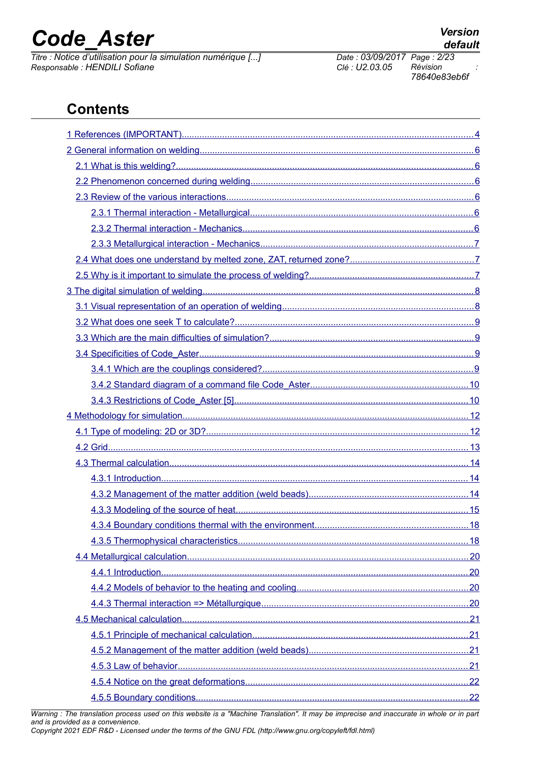*Titre : Notice d'utilisation pour la simulation numérique [...] Date : 03/09/2017 Page : 2/23*  $Responsible : HENDILI$  Sofiane

*78640e83eb6f*

# **Contents**

*Warning : The translation process used on this website is a "Machine Translation". It may be imprecise and inaccurate in whole or in part and is provided as a convenience.*

*Copyright 2021 EDF R&D - Licensed under the terms of the GNU FDL (http://www.gnu.org/copyleft/fdl.html)*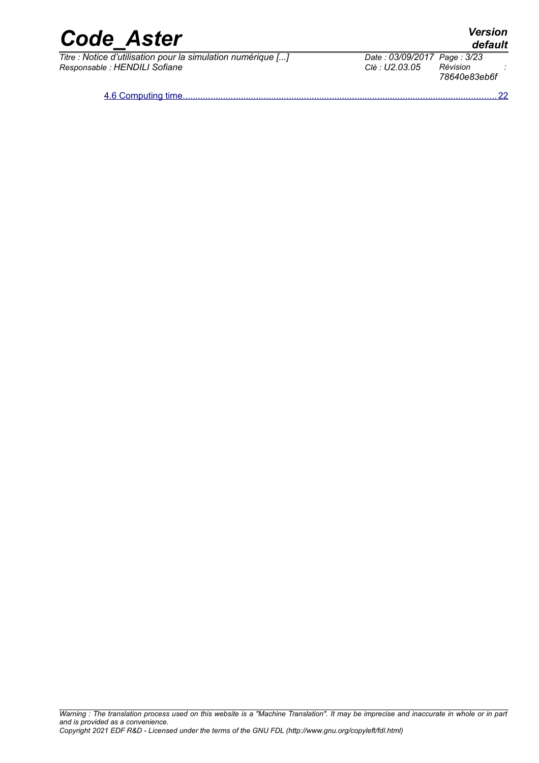*Titre : Notice d'utilisation pour la simulation numérique [...] Date : 03/09/2017 Page : 3/23 Responsable : HENDILI Sofiane Clé : U2.03.05 Révision :*

 [4.6 Computing time ............................................................................................................................22](#page-21-2)

*default*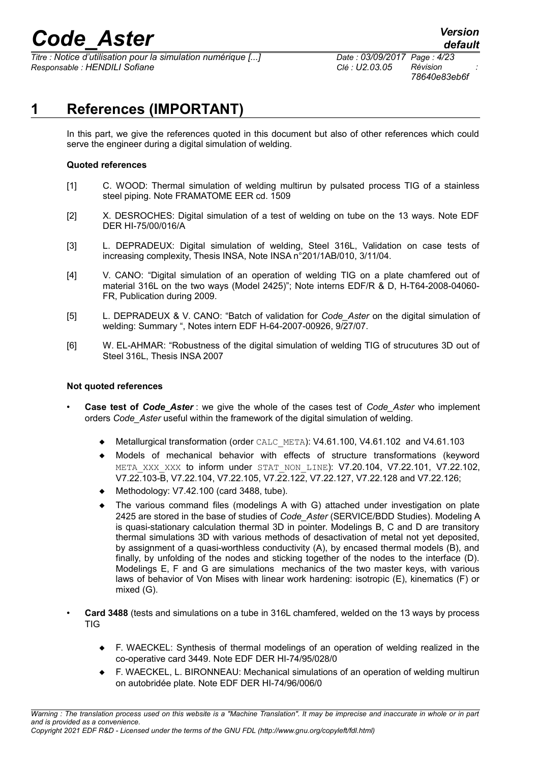*Titre : Notice d'utilisation pour la simulation numérique [...] Date : 03/09/2017 Page : 4/23 Responsable : HENDILI Sofiane Clé : U2.03.05 Révision :*

*78640e83eb6f*

# **1 References (IMPORTANT)**

<span id="page-3-0"></span>In this part, we give the references quoted in this document but also of other references which could serve the engineer during a digital simulation of welding.

### **Quoted references**

- [1] C. WOOD: Thermal simulation of welding multirun by pulsated process TIG of a stainless steel piping. Note FRAMATOME EER cd. 1509
- [2] X. DESROCHES: Digital simulation of a test of welding on tube on the 13 ways. Note EDF DER HI-75/00/016/A
- [3] L. DEPRADEUX: Digital simulation of welding, Steel 316L, Validation on case tests of increasing complexity, Thesis INSA, Note INSA n°201/1AB/010, 3/11/04.
- [4] V. CANO: "Digital simulation of an operation of welding TIG on a plate chamfered out of material 316L on the two ways (Model 2425)"; Note interns EDF/R & D, H-T64-2008-04060- FR, Publication during 2009.
- [5] L. DEPRADEUX & V. CANO: "Batch of validation for *Code\_Aster* on the digital simulation of welding: Summary ", Notes intern EDF H-64-2007-00926, 9/27/07.
- [6] W. EL-AHMAR: "Robustness of the digital simulation of welding TIG of strucutures 3D out of Steel 316L, Thesis INSA 2007

### **Not quoted references**

- **Case test of** *Code\_Aster* : we give the whole of the cases test of *Code\_Aster* who implement orders *Code\_Aster* useful within the framework of the digital simulation of welding.
	- Metallurgical transformation (order CALC\_META): V4.61.100, V4.61.102 and V4.61.103
	- Models of mechanical behavior with effects of structure transformations (keyword META XXX XXX to inform under STAT NON LINE): V7.20.104, V7.22.101, V7.22.102, V7.22.103-B, V7.22.104, V7.22.105, V7.22.122, V7.22.127, V7.22.128 and V7.22.126;
	- Methodology: V7.42.100 (card 3488, tube).
	- The various command files (modelings A with G) attached under investigation on plate 2425 are stored in the base of studies of *Code\_Aster* (SERVICE/BDD Studies). Modeling A is quasi-stationary calculation thermal 3D in pointer. Modelings B, C and D are transitory thermal simulations 3D with various methods of desactivation of metal not yet deposited, by assignment of a quasi-worthless conductivity (A), by encased thermal models (B), and finally, by unfolding of the nodes and sticking together of the nodes to the interface (D). Modelings E, F and G are simulations mechanics of the two master keys, with various laws of behavior of Von Mises with linear work hardening: isotropic (E), kinematics (F) or mixed (G).
- **Card 3488** (tests and simulations on a tube in 316L chamfered, welded on the 13 ways by process TIG
	- F. WAECKEL: Synthesis of thermal modelings of an operation of welding realized in the co-operative card 3449. Note EDF DER HI-74/95/028/0
	- F. WAECKEL, L. BIRONNEAU: Mechanical simulations of an operation of welding multirun on autobridée plate. Note EDF DER HI-74/96/006/0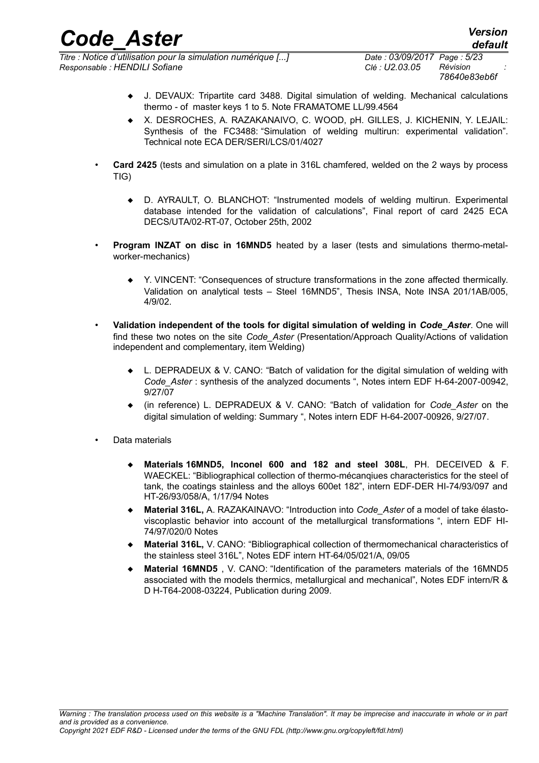*Titre : Notice d'utilisation pour la simulation numérique [...] Date : 03/09/2017 Page : 5/23 Responsable : HENDILI Sofiane Clé : U2.03.05 Révision :*

- J. DEVAUX: Tripartite card 3488. Digital simulation of welding. Mechanical calculations thermo - of master keys 1 to 5. Note FRAMATOME LL/99.4564
- X. DESROCHES, A. RAZAKANAIVO, C. WOOD, pH. GILLES, J. KICHENIN, Y. LEJAIL: Synthesis of the FC3488: "Simulation of welding multirun: experimental validation". Technical note ECA DER/SERI/LCS/01/4027
- **Card 2425** (tests and simulation on a plate in 316L chamfered, welded on the 2 ways by process TIG)
	- D. AYRAULT, O. BLANCHOT: "Instrumented models of welding multirun. Experimental database intended for the validation of calculations", Final report of card 2425 ECA DECS/UTA/02-RT-07, October 25th, 2002
- **Program INZAT on disc in 16MND5** heated by a laser (tests and simulations thermo-metalworker-mechanics)
	- Y. VINCENT: "Consequences of structure transformations in the zone affected thermically. Validation on analytical tests – Steel 16MND5", Thesis INSA, Note INSA 201/1AB/005, 4/9/02.
- **Validation independent of the tools for digital simulation of welding in** *Code\_Aster*. One will find these two notes on the site *Code\_Aster* (Presentation/Approach Quality/Actions of validation independent and complementary, item Welding)
	- L. DEPRADEUX & V. CANO: "Batch of validation for the digital simulation of welding with *Code\_Aster* : synthesis of the analyzed documents ", Notes intern EDF H-64-2007-00942, 9/27/07
	- (in reference) L. DEPRADEUX & V. CANO: "Batch of validation for *Code\_Aster* on the digital simulation of welding: Summary ", Notes intern EDF H-64-2007-00926, 9/27/07.
- Data materials
	- **Materials 16MND5, lnconel 600 and 182 and steel 308L**, PH. DECEIVED & F. WAECKEL: "Bibliographical collection of thermo-mécanqiues characteristics for the steel of tank, the coatings stainless and the alloys 600et 182", intern EDF-DER HI-74/93/097 and HT-26/93/058/A, 1/17/94 Notes
	- **Material 316L,** A. RAZAKAINAVO: "Introduction into *Code\_Aster* of a model of take élastoviscoplastic behavior into account of the metallurgical transformations ", intern EDF HI-74/97/020/0 Notes
	- **Material 316L,** V. CANO: "Bibliographical collection of thermomechanical characteristics of the stainless steel 316L", Notes EDF intern HT-64/05/021/A, 09/05
	- **Material 16MND5** , V. CANO: "Identification of the parameters materials of the 16MND5 associated with the models thermics, metallurgical and mechanical", Notes EDF intern/R & D H-T64-2008-03224, Publication during 2009.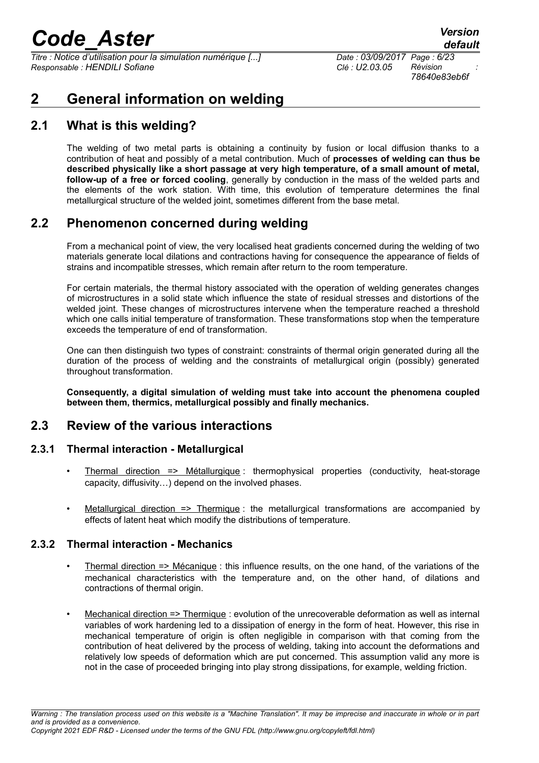*Titre : Notice d'utilisation pour la simulation numérique [...] Date : 03/09/2017 Page : 6/23*  $Responsible : HENDILI$  Sofiane

*78640e83eb6f*

# <span id="page-5-5"></span>**2 General information on welding**

# **2.1 What is this welding?**

<span id="page-5-4"></span>The welding of two metal parts is obtaining a continuity by fusion or local diffusion thanks to a contribution of heat and possibly of a metal contribution. Much of **processes of welding can thus be described physically like a short passage at very high temperature, of a small amount of metal, follow-up of a free or forced cooling**, generally by conduction in the mass of the welded parts and the elements of the work station. With time, this evolution of temperature determines the final metallurgical structure of the welded joint, sometimes different from the base metal.

## **2.2 Phenomenon concerned during welding**

<span id="page-5-3"></span>From a mechanical point of view, the very localised heat gradients concerned during the welding of two materials generate local dilations and contractions having for consequence the appearance of fields of strains and incompatible stresses, which remain after return to the room temperature.

For certain materials, the thermal history associated with the operation of welding generates changes of microstructures in a solid state which influence the state of residual stresses and distortions of the welded joint. These changes of microstructures intervene when the temperature reached a threshold which one calls initial temperature of transformation. These transformations stop when the temperature exceeds the temperature of end of transformation.

One can then distinguish two types of constraint: constraints of thermal origin generated during all the duration of the process of welding and the constraints of metallurgical origin (possibly) generated throughout transformation.

<span id="page-5-2"></span>**Consequently, a digital simulation of welding must take into account the phenomena coupled between them, thermics, metallurgical possibly and finally mechanics.**

## **2.3 Review of the various interactions**

### **2.3.1 Thermal interaction - Metallurgical**

- <span id="page-5-1"></span>• Thermal direction => Métallurgique : thermophysical properties (conductivity, heat-storage capacity, diffusivity…) depend on the involved phases.
- Metallurgical direction  $\Rightarrow$  Thermique : the metallurgical transformations are accompanied by effects of latent heat which modify the distributions of temperature.

### **2.3.2 Thermal interaction - Mechanics**

- <span id="page-5-0"></span>• Thermal direction => Mécanique : this influence results, on the one hand, of the variations of the mechanical characteristics with the temperature and, on the other hand, of dilations and contractions of thermal origin.
- Mechanical direction => Thermique : evolution of the unrecoverable deformation as well as internal variables of work hardening led to a dissipation of energy in the form of heat. However, this rise in mechanical temperature of origin is often negligible in comparison with that coming from the contribution of heat delivered by the process of welding, taking into account the deformations and relatively low speeds of deformation which are put concerned. This assumption valid any more is not in the case of proceeded bringing into play strong dissipations, for example, welding friction.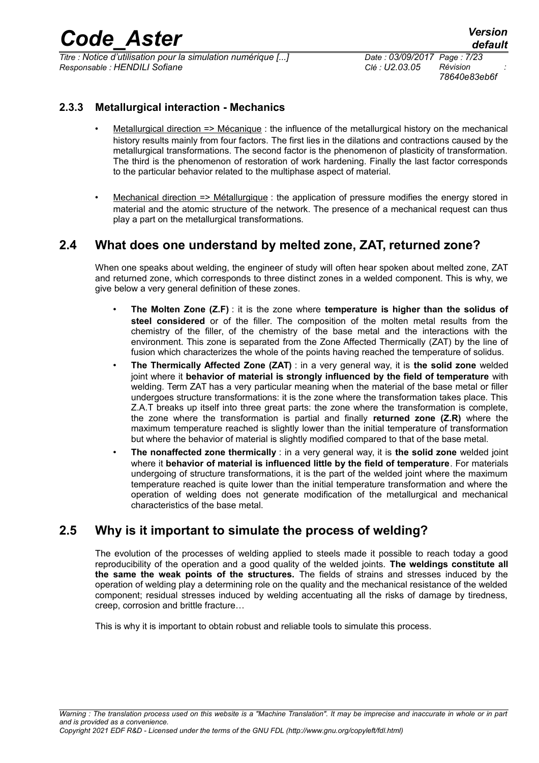*Titre : Notice d'utilisation pour la simulation numérique [...] Date : 03/09/2017 Page : 7/23*  $Responsible : HENDILI$  Sofiane

*78640e83eb6f*

### **2.3.3 Metallurgical interaction - Mechanics**

- <span id="page-6-2"></span>• Metallurgical direction => Mécanique : the influence of the metallurgical history on the mechanical history results mainly from four factors. The first lies in the dilations and contractions caused by the metallurgical transformations. The second factor is the phenomenon of plasticity of transformation. The third is the phenomenon of restoration of work hardening. Finally the last factor corresponds to the particular behavior related to the multiphase aspect of material.
- Mechanical direction => Métallurgique : the application of pressure modifies the energy stored in material and the atomic structure of the network. The presence of a mechanical request can thus play a part on the metallurgical transformations.

## **2.4 What does one understand by melted zone, ZAT, returned zone?**

<span id="page-6-1"></span>When one speaks about welding, the engineer of study will often hear spoken about melted zone, ZAT and returned zone, which corresponds to three distinct zones in a welded component. This is why, we give below a very general definition of these zones.

- **The Molten Zone (Z.F)** : it is the zone where **temperature is higher than the solidus of steel considered** or of the filler. The composition of the molten metal results from the chemistry of the filler, of the chemistry of the base metal and the interactions with the environment. This zone is separated from the Zone Affected Thermically (ZAT) by the line of fusion which characterizes the whole of the points having reached the temperature of solidus.
- **The Thermically Affected Zone (ZAT)** : in a very general way, it is **the solid zone** welded joint where it **behavior of material is strongly influenced by the field of temperature** with welding. Term ZAT has a very particular meaning when the material of the base metal or filler undergoes structure transformations: it is the zone where the transformation takes place. This Z.A.T breaks up itself into three great parts: the zone where the transformation is complete, the zone where the transformation is partial and finally **returned zone (Z.R)** where the maximum temperature reached is slightly lower than the initial temperature of transformation but where the behavior of material is slightly modified compared to that of the base metal.
- **The nonaffected zone thermically** : in a very general way, it is **the solid zone** welded joint where it **behavior of material is influenced little by the field of temperature**. For materials undergoing of structure transformations, it is the part of the welded joint where the maximum temperature reached is quite lower than the initial temperature transformation and where the operation of welding does not generate modification of the metallurgical and mechanical characteristics of the base metal.

## **2.5 Why is it important to simulate the process of welding?**

<span id="page-6-0"></span>The evolution of the processes of welding applied to steels made it possible to reach today a good reproducibility of the operation and a good quality of the welded joints. **The weldings constitute all the same the weak points of the structures.** The fields of strains and stresses induced by the operation of welding play a determining role on the quality and the mechanical resistance of the welded component; residual stresses induced by welding accentuating all the risks of damage by tiredness, creep, corrosion and brittle fracture…

This is why it is important to obtain robust and reliable tools to simulate this process.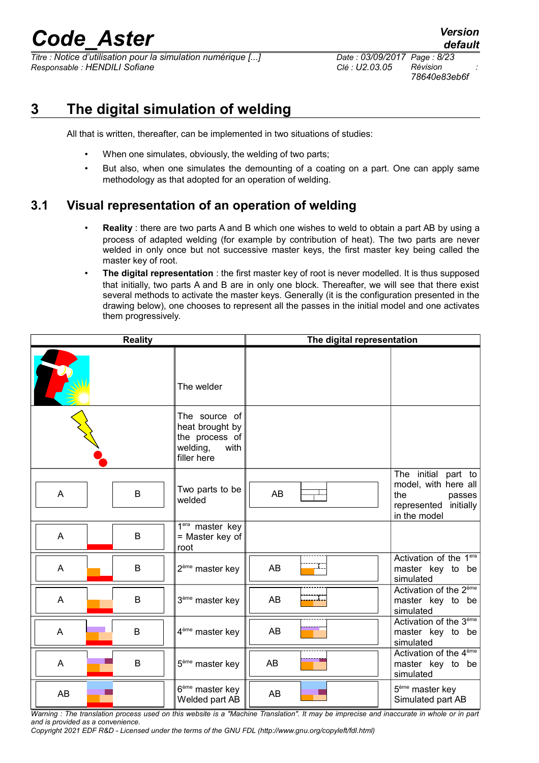*Titre : Notice d'utilisation pour la simulation numérique [...] Date : 03/09/2017 Page : 8/23 Responsable : HENDILI Sofiane Clé : U2.03.05 Révision :*

# **3 The digital simulation of welding**

<span id="page-7-1"></span>All that is written, thereafter, can be implemented in two situations of studies:

- When one simulates, obviously, the welding of two parts;
- But also, when one simulates the demounting of a coating on a part. One can apply same methodology as that adopted for an operation of welding.

# **3.1 Visual representation of an operation of welding**

- <span id="page-7-0"></span>• **Reality** : there are two parts A and B which one wishes to weld to obtain a part AB by using a process of adapted welding (for example by contribution of heat). The two parts are never welded in only once but not successive master keys, the first master key being called the master key of root.
- **The digital representation** : the first master key of root is never modelled. It is thus supposed that initially, two parts A and B are in only one block. Thereafter, we will see that there exist several methods to activate the master keys. Generally (it is the configuration presented in the drawing below), one chooses to represent all the passes in the initial model and one activates them progressively.

| <b>Reality</b> |  |   | The digital representation                                                            |           |  |                                                                                                       |
|----------------|--|---|---------------------------------------------------------------------------------------|-----------|--|-------------------------------------------------------------------------------------------------------|
|                |  |   | The welder                                                                            |           |  |                                                                                                       |
|                |  |   | The source of<br>heat brought by<br>the process of<br>welding,<br>with<br>filler here |           |  |                                                                                                       |
| A              |  | B | Two parts to be<br>welded                                                             | <b>AB</b> |  | The initial part to<br>model, with here all<br>the<br>passes<br>represented initially<br>in the model |
| A              |  | B | 1 <sup>era</sup> master key<br>= Master key of<br>root                                |           |  |                                                                                                       |
| A              |  | B | 2 <sup>ème</sup> master key                                                           | AB        |  | Activation of the $1era$<br>master key to be<br>simulated                                             |
| A              |  | B | 3 <sup>ème</sup> master key                                                           | AB        |  | Activation of the 2 <sup>ème</sup><br>master key to be<br>simulated                                   |
| A              |  | B | 4 <sup>ème</sup> master key                                                           | AB        |  | Activation of the 3 <sup>ème</sup><br>master key to be<br>simulated                                   |
| A              |  | B | $5eme$ master key                                                                     | AB        |  | Activation of the 4 <sup>ème</sup><br>master key to be<br>simulated                                   |
| AB             |  |   | 6 <sup>ème</sup> master key<br>Welded part AB                                         | AB        |  | 5 <sup>ème</sup> master key<br>Simulated part AB                                                      |

*Warning : The translation process used on this website is a "Machine Translation". It may be imprecise and inaccurate in whole or in part and is provided as a convenience.*

*Copyright 2021 EDF R&D - Licensed under the terms of the GNU FDL (http://www.gnu.org/copyleft/fdl.html)*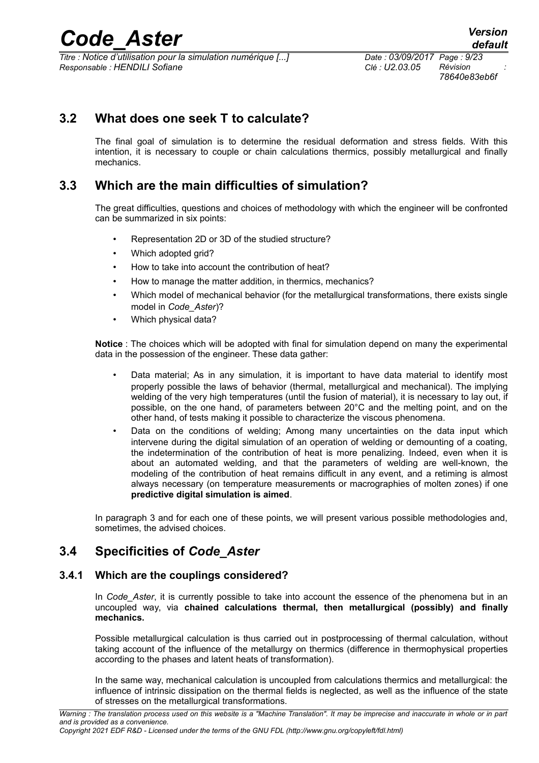*Titre : Notice d'utilisation pour la simulation numérique [...] Date : 03/09/2017 Page : 9/23*  $Responsible : HENDILI$  Sofiane

*78640e83eb6f*

# **3.2 What does one seek T to calculate?**

<span id="page-8-3"></span>The final goal of simulation is to determine the residual deformation and stress fields. With this intention, it is necessary to couple or chain calculations thermics, possibly metallurgical and finally mechanics.

## **3.3 Which are the main difficulties of simulation?**

<span id="page-8-2"></span>The great difficulties, questions and choices of methodology with which the engineer will be confronted can be summarized in six points:

- Representation 2D or 3D of the studied structure?
- Which adopted grid?
- How to take into account the contribution of heat?
- How to manage the matter addition, in thermics, mechanics?
- Which model of mechanical behavior (for the metallurgical transformations, there exists single model in *Code\_Aster*)?
- Which physical data?

**Notice** : The choices which will be adopted with final for simulation depend on many the experimental data in the possession of the engineer. These data gather:

- Data material; As in any simulation, it is important to have data material to identify most properly possible the laws of behavior (thermal, metallurgical and mechanical). The implying welding of the very high temperatures (until the fusion of material), it is necessary to lay out, if possible, on the one hand, of parameters between 20°C and the melting point, and on the other hand, of tests making it possible to characterize the viscous phenomena.
- Data on the conditions of welding; Among many uncertainties on the data input which intervene during the digital simulation of an operation of welding or demounting of a coating, the indetermination of the contribution of heat is more penalizing. Indeed, even when it is about an automated welding, and that the parameters of welding are well-known, the modeling of the contribution of heat remains difficult in any event, and a retiming is almost always necessary (on temperature measurements or macrographies of molten zones) if one **predictive digital simulation is aimed**.

<span id="page-8-1"></span>In paragraph 3 and for each one of these points, we will present various possible methodologies and, sometimes, the advised choices.

## **3.4 Specificities of** *Code\_Aster*

### **3.4.1 Which are the couplings considered?**

<span id="page-8-0"></span>In *Code Aster*, it is currently possible to take into account the essence of the phenomena but in an uncoupled way, via **chained calculations thermal, then metallurgical (possibly) and finally mechanics.**

Possible metallurgical calculation is thus carried out in postprocessing of thermal calculation, without taking account of the influence of the metallurgy on thermics (difference in thermophysical properties according to the phases and latent heats of transformation).

In the same way, mechanical calculation is uncoupled from calculations thermics and metallurgical: the influence of intrinsic dissipation on the thermal fields is neglected, as well as the influence of the state of stresses on the metallurgical transformations.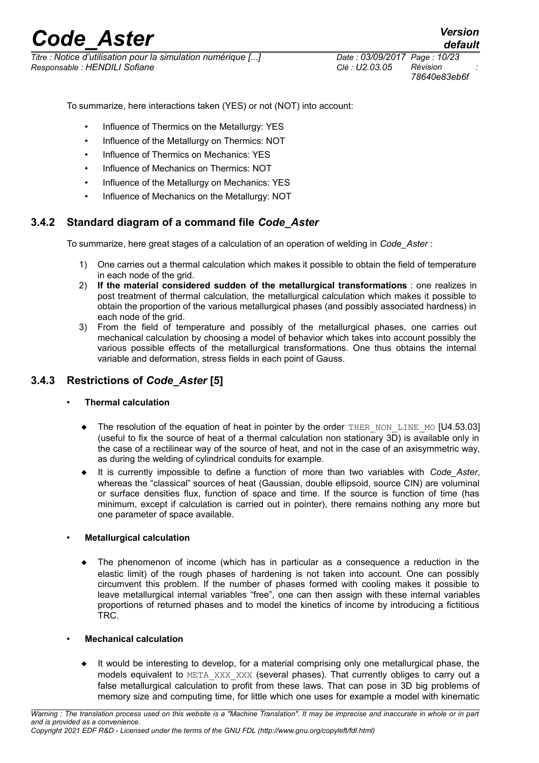*Titre : Notice d'utilisation pour la simulation numérique [...] Date : 03/09/2017 Page : 10/23 Responsable : HENDILI Sofiane Clé : U2.03.05 Révision :*

*78640e83eb6f*

To summarize, here interactions taken (YES) or not (NOT) into account:

- Influence of Thermics on the Metallurgy: YES
- Influence of the Metallurgy on Thermics: NOT
- Influence of Thermics on Mechanics: YES
- Influence of Mechanics on Thermics: NOT
- Influence of the Metallurgy on Mechanics: YES
- Influence of Mechanics on the Metallurgy: NOT

### **3.4.2 Standard diagram of a command file** *Code\_Aster*

<span id="page-9-1"></span>To summarize, here great stages of a calculation of an operation of welding in *Code\_Aster* :

- 1) One carries out a thermal calculation which makes it possible to obtain the field of temperature in each node of the grid.
- 2) **If the material considered sudden of the metallurgical transformations** : one realizes in post treatment of thermal calculation, the metallurgical calculation which makes it possible to obtain the proportion of the various metallurgical phases (and possibly associated hardness) in each node of the grid.
- 3) From the field of temperature and possibly of the metallurgical phases, one carries out mechanical calculation by choosing a model of behavior which takes into account possibly the various possible effects of the metallurgical transformations. One thus obtains the internal variable and deformation, stress fields in each point of Gauss.

### **3.4.3 Restrictions of** *Code\_Aster* **[5]**

### <span id="page-9-0"></span>• **Thermal calculation**

- $\blacklozenge$  The resolution of the equation of heat in pointer by the order THER\_NON\_LINE\_MO [U4.53.03] (useful to fix the source of heat of a thermal calculation non stationary 3D) is available only in the case of a rectilinear way of the source of heat, and not in the case of an axisymmetric way, as during the welding of cylindrical conduits for example.
- It is currently impossible to define a function of more than two variables with *Code\_Aster*, whereas the "classical" sources of heat (Gaussian, double ellipsoid, source CIN) are voluminal or surface densities flux, function of space and time. If the source is function of time (has minimum, except if calculation is carried out in pointer), there remains nothing any more but one parameter of space available.

### • **Metallurgical calculation**

 The phenomenon of income (which has in particular as a consequence a reduction in the elastic limit) of the rough phases of hardening is not taken into account. One can possibly circumvent this problem. If the number of phases formed with cooling makes it possible to leave metallurgical internal variables "free", one can then assign with these internal variables proportions of returned phases and to model the kinetics of income by introducing a fictitious TRC.

### • **Mechanical calculation**

 It would be interesting to develop, for a material comprising only one metallurgical phase, the models equivalent to META\_XXX\_XXX (several phases). That currently obliges to carry out a false metallurgical calculation to profit from these laws. That can pose in 3D big problems of memory size and computing time, for little which one uses for example a model with kinematic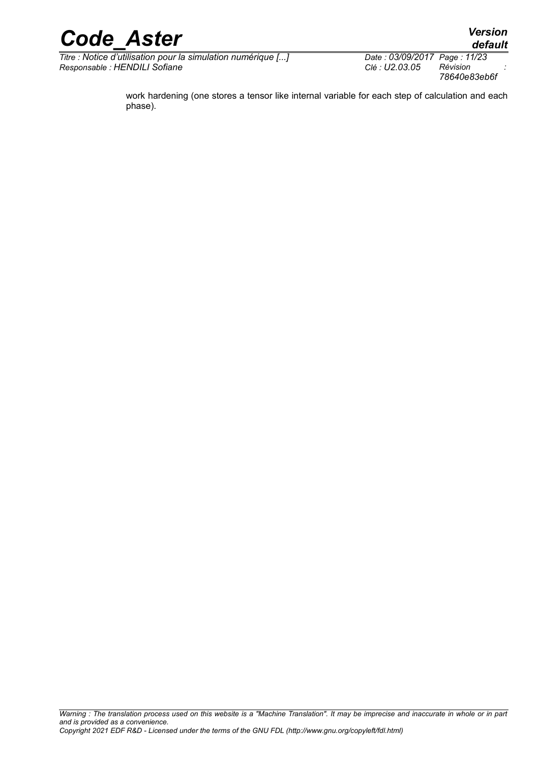

*Titre : Notice d'utilisation pour la simulation numérique [...] Date : 03/09/2017 Page : 11/23*  $Responsible : HENDILI$  Sofiane

*78640e83eb6f*

work hardening (one stores a tensor like internal variable for each step of calculation and each phase).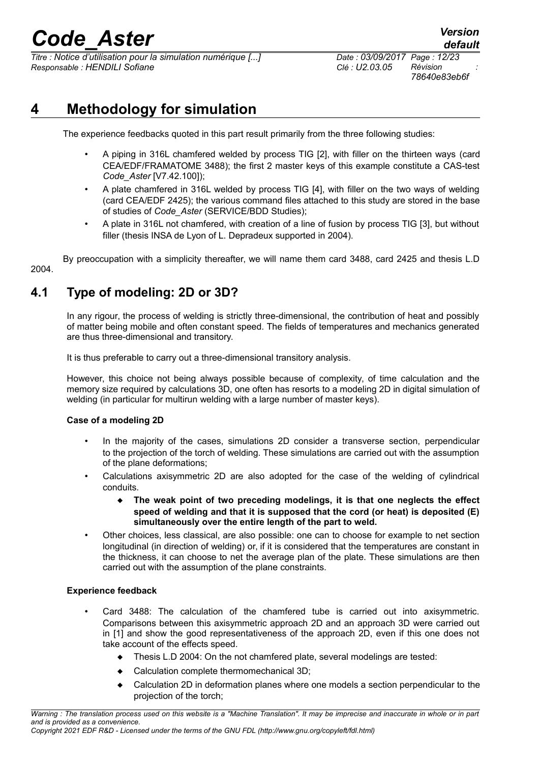*Titre : Notice d'utilisation pour la simulation numérique [...] Date : 03/09/2017 Page : 12/23 Responsable : HENDILI Sofiane Clé : U2.03.05 Révision :*

*78640e83eb6f*

# **4 Methodology for simulation**

<span id="page-11-1"></span>The experience feedbacks quoted in this part result primarily from the three following studies:

- A piping in 316L chamfered welded by process TIG [2], with filler on the thirteen ways (card CEA/EDF/FRAMATOME 3488); the first 2 master keys of this example constitute a CAS-test *Code\_Aster* [V7.42.100]);
- A plate chamfered in 316L welded by process TIG [4], with filler on the two ways of welding (card CEA/EDF 2425); the various command files attached to this study are stored in the base of studies of *Code\_Aster* (SERVICE/BDD Studies);
- A plate in 316L not chamfered, with creation of a line of fusion by process TIG [3], but without filler (thesis INSA de Lyon of L. Depradeux supported in 2004).

By preoccupation with a simplicity thereafter, we will name them card 3488, card 2425 and thesis L.D 2004.

# **4.1 Type of modeling: 2D or 3D?**

<span id="page-11-0"></span>In any rigour, the process of welding is strictly three-dimensional, the contribution of heat and possibly of matter being mobile and often constant speed. The fields of temperatures and mechanics generated are thus three-dimensional and transitory.

It is thus preferable to carry out a three-dimensional transitory analysis.

However, this choice not being always possible because of complexity, of time calculation and the memory size required by calculations 3D, one often has resorts to a modeling 2D in digital simulation of welding (in particular for multirun welding with a large number of master keys).

### **Case of a modeling 2D**

- In the majority of the cases, simulations 2D consider a transverse section, perpendicular to the projection of the torch of welding. These simulations are carried out with the assumption of the plane deformations;
- Calculations axisymmetric 2D are also adopted for the case of the welding of cylindrical conduits.
	- **The weak point of two preceding modelings, it is that one neglects the effect speed of welding and that it is supposed that the cord (or heat) is deposited (E) simultaneously over the entire length of the part to weld.**
- Other choices, less classical, are also possible: one can to choose for example to net section longitudinal (in direction of welding) or, if it is considered that the temperatures are constant in the thickness, it can choose to net the average plan of the plate. These simulations are then carried out with the assumption of the plane constraints.

### **Experience feedback**

- Card 3488: The calculation of the chamfered tube is carried out into axisymmetric. Comparisons between this axisymmetric approach 2D and an approach 3D were carried out in [1] and show the good representativeness of the approach 2D, even if this one does not take account of the effects speed.
	- Thesis L.D 2004: On the not chamfered plate, several modelings are tested:
	- Calculation complete thermomechanical 3D;
	- Calculation 2D in deformation planes where one models a section perpendicular to the projection of the torch;

*Warning : The translation process used on this website is a "Machine Translation". It may be imprecise and inaccurate in whole or in part and is provided as a convenience.*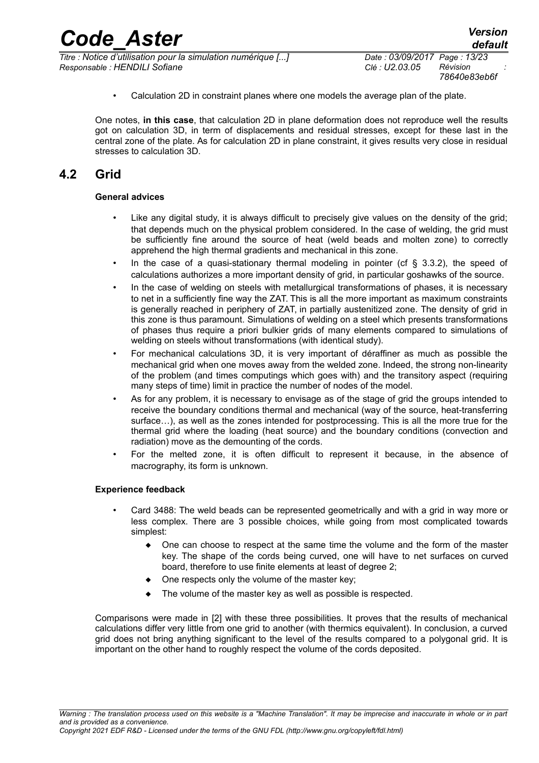*78640e83eb6f*

• Calculation 2D in constraint planes where one models the average plan of the plate.

One notes, **in this case**, that calculation 2D in plane deformation does not reproduce well the results got on calculation 3D, in term of displacements and residual stresses, except for these last in the central zone of the plate. As for calculation 2D in plane constraint, it gives results very close in residual stresses to calculation 3D.

# **4.2 Grid**

### <span id="page-12-0"></span>**General advices**

- Like any digital study, it is always difficult to precisely give values on the density of the grid; that depends much on the physical problem considered. In the case of welding, the grid must be sufficiently fine around the source of heat (weld beads and molten zone) to correctly apprehend the high thermal gradients and mechanical in this zone.
- In the case of a quasi-stationary thermal modeling in pointer (cf  $\S$  3.3.2), the speed of calculations authorizes a more important density of grid, in particular goshawks of the source.
- In the case of welding on steels with metallurgical transformations of phases, it is necessary to net in a sufficiently fine way the ZAT. This is all the more important as maximum constraints is generally reached in periphery of ZAT, in partially austenitized zone. The density of grid in this zone is thus paramount. Simulations of welding on a steel which presents transformations of phases thus require a priori bulkier grids of many elements compared to simulations of welding on steels without transformations (with identical study).
- For mechanical calculations 3D, it is very important of déraffiner as much as possible the mechanical grid when one moves away from the welded zone. Indeed, the strong non-linearity of the problem (and times computings which goes with) and the transitory aspect (requiring many steps of time) limit in practice the number of nodes of the model.
- As for any problem, it is necessary to envisage as of the stage of grid the groups intended to receive the boundary conditions thermal and mechanical (way of the source, heat-transferring surface…), as well as the zones intended for postprocessing. This is all the more true for the thermal grid where the loading (heat source) and the boundary conditions (convection and radiation) move as the demounting of the cords.
- For the melted zone, it is often difficult to represent it because, in the absence of macrography, its form is unknown.

### **Experience feedback**

- Card 3488: The weld beads can be represented geometrically and with a grid in way more or less complex. There are 3 possible choices, while going from most complicated towards simplest:
	- One can choose to respect at the same time the volume and the form of the master key. The shape of the cords being curved, one will have to net surfaces on curved board, therefore to use finite elements at least of degree 2;
	- One respects only the volume of the master key;
	- The volume of the master key as well as possible is respected.

Comparisons were made in [2] with these three possibilities. It proves that the results of mechanical calculations differ very little from one grid to another (with thermics equivalent). In conclusion, a curved grid does not bring anything significant to the level of the results compared to a polygonal grid. It is important on the other hand to roughly respect the volume of the cords deposited.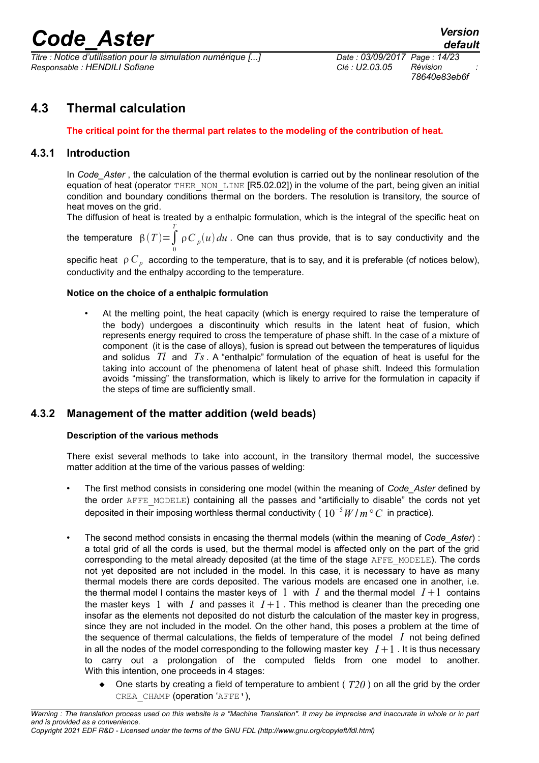*Titre : Notice d'utilisation pour la simulation numérique [...] Date : 03/09/2017 Page : 14/23*  $Responsible : HENDILI$  Sofiane

*78640e83eb6f*

# **4.3 Thermal calculation**

### <span id="page-13-2"></span><span id="page-13-1"></span>**The critical point for the thermal part relates to the modeling of the contribution of heat.**

### **4.3.1 Introduction**

In *Code* Aster, the calculation of the thermal evolution is carried out by the nonlinear resolution of the equation of heat (operator THER\_NON\_LINE [R5.02.02]) in the volume of the part, being given an initial condition and boundary conditions thermal on the borders. The resolution is transitory, the source of heat moves on the grid.

The diffusion of heat is treated by a enthalpic formulation, which is the integral of the specific heat on the temperature  $\beta(T) = \int_0^T$ 0  $\frac{\rho}{\rho}$   $\int_{\rho}^{\rho}$   $\int_{\rho}^{\rho}$  *du* . One can thus provide, that is to say conductivity and the

specific heat  $\,\rho\,C_{\,p}\,$  according to the temperature, that is to say, and it is preferable (cf notices below), conductivity and the enthalpy according to the temperature.

#### **Notice on the choice of a enthalpic formulation**

• At the melting point, the heat capacity (which is energy required to raise the temperature of the body) undergoes a discontinuity which results in the latent heat of fusion, which represents energy required to cross the temperature of phase shift. In the case of a mixture of component (it is the case of alloys), fusion is spread out between the temperatures of liquidus and solidus *Tl* and *Ts*. A "enthalpic" formulation of the equation of heat is useful for the taking into account of the phenomena of latent heat of phase shift. Indeed this formulation avoids "missing" the transformation, which is likely to arrive for the formulation in capacity if the steps of time are sufficiently small.

### **4.3.2 Management of the matter addition (weld beads)**

### <span id="page-13-0"></span>**Description of the various methods**

There exist several methods to take into account, in the transitory thermal model, the successive matter addition at the time of the various passes of welding:

- The first method consists in considering one model (within the meaning of *Code\_Aster* defined by the order AFFE\_MODELE) containing all the passes and "artificially to disable" the cords not yet deposited in their imposing worthless thermal conductivity ( $10^{-5} W/m^{\circ} C$  in practice).
- The second method consists in encasing the thermal models (within the meaning of *Code\_Aster*) : a total grid of all the cords is used, but the thermal model is affected only on the part of the grid corresponding to the metal already deposited (at the time of the stage AFFE\_MODELE). The cords not yet deposited are not included in the model. In this case, it is necessary to have as many thermal models there are cords deposited. The various models are encased one in another, i.e. the thermal model I contains the master keys of 1 with  $I$  and the thermal model  $I+1$  contains the master keys 1 with *I* and passes it  $I+1$ . This method is cleaner than the preceding one insofar as the elements not deposited do not disturb the calculation of the master key in progress, since they are not included in the model. On the other hand, this poses a problem at the time of the sequence of thermal calculations, the fields of temperature of the model *I* not being defined in all the nodes of the model corresponding to the following master key  $I+1$ . It is thus necessary to carry out a prolongation of the computed fields from one model to another. With this intention, one proceeds in 4 stages:
	- One starts by creating a field of temperature to ambient ( *T20* ) on all the grid by the order CREA CHAMP (operation 'AFFE'),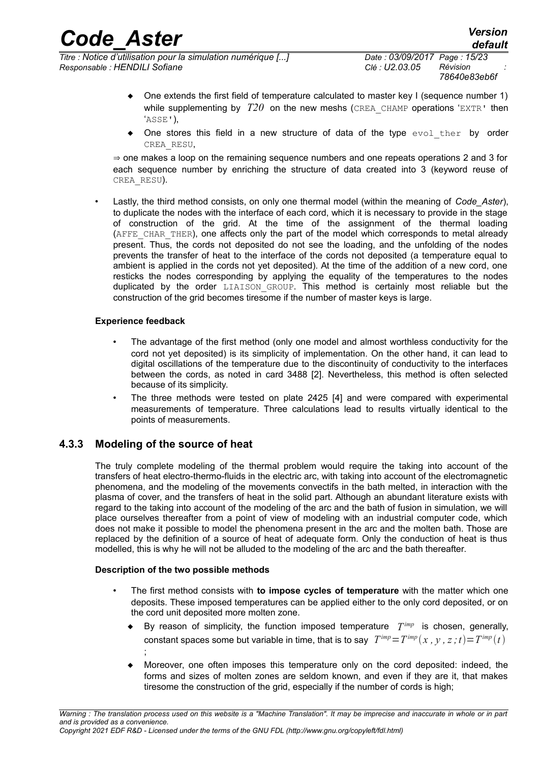*default*

- $\bullet$  One extends the first field of temperature calculated to master key I (sequence number 1) while supplementing by  $T20$  on the new meshs (CREA CHAMP operations 'EXTR' then 'ASSE'),
- One stores this field in a new structure of data of the type  $evol$  ther by order CREA\_RESU,

⇒ one makes a loop on the remaining sequence numbers and one repeats operations 2 and 3 for each sequence number by enriching the structure of data created into 3 (keyword reuse of CREA\_RESU).

• Lastly, the third method consists, on only one thermal model (within the meaning of *Code\_Aster*), to duplicate the nodes with the interface of each cord, which it is necessary to provide in the stage of construction of the grid. At the time of the assignment of the thermal loading (AFFE CHAR THER), one affects only the part of the model which corresponds to metal already present. Thus, the cords not deposited do not see the loading, and the unfolding of the nodes prevents the transfer of heat to the interface of the cords not deposited (a temperature equal to ambient is applied in the cords not yet deposited). At the time of the addition of a new cord, one resticks the nodes corresponding by applying the equality of the temperatures to the nodes duplicated by the order LIAISON GROUP. This method is certainly most reliable but the construction of the grid becomes tiresome if the number of master keys is large.

### **Experience feedback**

- The advantage of the first method (only one model and almost worthless conductivity for the cord not yet deposited) is its simplicity of implementation. On the other hand, it can lead to digital oscillations of the temperature due to the discontinuity of conductivity to the interfaces between the cords, as noted in card 3488 [2]. Nevertheless, this method is often selected because of its simplicity.
- The three methods were tested on plate 2425 [4] and were compared with experimental measurements of temperature. Three calculations lead to results virtually identical to the points of measurements.

### **4.3.3 Modeling of the source of heat**

<span id="page-14-0"></span>The truly complete modeling of the thermal problem would require the taking into account of the transfers of heat electro-thermo-fluids in the electric arc, with taking into account of the electromagnetic phenomena, and the modeling of the movements convectifs in the bath melted, in interaction with the plasma of cover, and the transfers of heat in the solid part. Although an abundant literature exists with regard to the taking into account of the modeling of the arc and the bath of fusion in simulation, we will place ourselves thereafter from a point of view of modeling with an industrial computer code, which does not make it possible to model the phenomena present in the arc and the molten bath. Those are replaced by the definition of a source of heat of adequate form. Only the conduction of heat is thus modelled, this is why he will not be alluded to the modeling of the arc and the bath thereafter.

### **Description of the two possible methods**

;

- The first method consists with **to impose cycles of temperature** with the matter which one deposits. These imposed temperatures can be applied either to the only cord deposited, or on the cord unit deposited more molten zone.
	- By reason of simplicity, the function imposed temperature *T imp* is chosen, generally, constant spaces some but variable in time, that is to say  $T^{imp} = T^{imp}(x, y, z; t) = T^{imp}(t)$
	- Moreover, one often imposes this temperature only on the cord deposited: indeed, the forms and sizes of molten zones are seldom known, and even if they are it, that makes tiresome the construction of the grid, especially if the number of cords is high;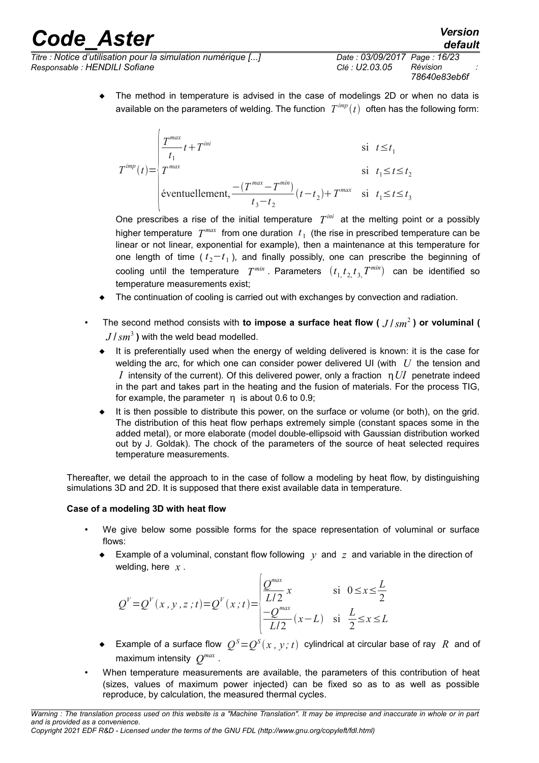*Titre : Notice d'utilisation pour la simulation numérique [...] Date : 03/09/2017 Page : 16/23 Responsable : HENDILI Sofiane Clé : U2.03.05 Révision :*

 The method in temperature is advised in the case of modelings 2D or when no data is available on the parameters of welding. The function  $T^{imp}(t)$  often has the following form:

$$
T^{imp}(t) = \begin{cases} \frac{T^{max}}{t_1}t + T^{ini} & \text{si } t \le t_1\\ T^{max} & \text{si } t_1 \le t \le t_2\\ \text{eventuellement}, \frac{-(T^{max} - T^{min})}{t_3 - t_2}(t - t_2) + T^{max} & \text{si } t_1 \le t \le t_3 \end{cases}
$$

One prescribes a rise of the initial temperature  $T^{ini}$  at the melting point or a possibly higher temperature  $T^{max}$  from one duration  $t_1$  (the rise in prescribed temperature can be linear or not linear, exponential for example), then a maintenance at this temperature for one length of time ( *t* <sup>2</sup>−*t* 1 ), and finally possibly, one can prescribe the beginning of cooling until the temperature  $T^{min}$ . Parameters  $(t_1, t_2, t_3, T^{min})$  can be identified so temperature measurements exist;

- The continuation of cooling is carried out with exchanges by convection and radiation.
- The second method consists with **to impose a surface heat flow (** *J* /*sm*<sup>2</sup> **) or voluminal (**  $J/\textit{sm}^3$  ) with the weld bead modelled.
	- It is preferentially used when the energy of welding delivered is known: it is the case for welding the arc, for which one can consider power delivered UI (with *U* the tension and *I* intensity of the current). Of this delivered power, only a fraction *nUI* penetrate indeed in the part and takes part in the heating and the fusion of materials. For the process TIG, for example, the parameter  $\eta$  is about 0.6 to 0.9;
	- It is then possible to distribute this power, on the surface or volume (or both), on the grid. The distribution of this heat flow perhaps extremely simple (constant spaces some in the added metal), or more elaborate (model double-ellipsoid with Gaussian distribution worked out by J. Goldak). The chock of the parameters of the source of heat selected requires temperature measurements.

Thereafter, we detail the approach to in the case of follow a modeling by heat flow, by distinguishing simulations 3D and 2D. It is supposed that there exist available data in temperature.

## **Case of a modeling 3D with heat flow**

- We give below some possible forms for the space representation of voluminal or surface flows:
	- Example of a voluminal, constant flow following  $y$  and  $z$  and variable in the direction of welding, here *x* .

$$
Q^{V} = Q^{V}(x, y, z; t) = Q^{V}(x; t) = \begin{cases} \frac{Q^{max}}{L/2} x & \text{si } 0 \le x \le \frac{L}{2} \\ \frac{-Q^{max}}{L/2} (x - L) & \text{si } \frac{L}{2} \le x \le L \end{cases}
$$

- $\bullet$  Example of a surface flow  $Q^{S}$   $=$   $Q^{S}$ ( $x$  ,  $y$  ;  $t)$  cylindrical at circular base of ray  $~R~$  and of maximum intensity *Q max* .
- When temperature measurements are available, the parameters of this contribution of heat (sizes, values of maximum power injected) can be fixed so as to as well as possible reproduce, by calculation, the measured thermal cycles.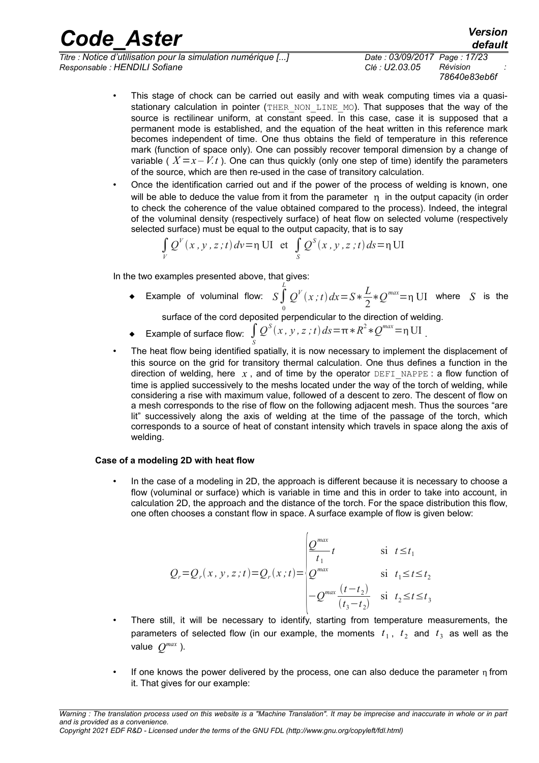*Titre : Notice d'utilisation pour la simulation numérique [...] Date : 03/09/2017 Page : 17/23 Responsable : HENDILI Sofiane Clé : U2.03.05 Révision :*

*78640e83eb6f*

- This stage of chock can be carried out easily and with weak computing times via a quasistationary calculation in pointer (THER\_NON\_LINE\_MO). That supposes that the way of the source is rectilinear uniform, at constant speed. In this case, case it is supposed that a permanent mode is established, and the equation of the heat written in this reference mark becomes independent of time. One thus obtains the field of temperature in this reference mark (function of space only). One can possibly recover temporal dimension by a change of variable ( $X = x - Vt$ ). One can thus quickly (only one step of time) identify the parameters of the source, which are then re-used in the case of transitory calculation.
- Once the identification carried out and if the power of the process of welding is known, one will be able to deduce the value from it from the parameter  $\eta$  in the output capacity (in order to check the coherence of the value obtained compared to the process). Indeed, the integral of the voluminal density (respectively surface) of heat flow on selected volume (respectively selected surface) must be equal to the output capacity, that is to say

$$
\int_{V} Q^{V}(x, y, z; t) dv = \eta \text{ UI} \text{ et } \int_{S} Q^{S}(x, y, z; t) ds = \eta \text{ UI}
$$

In the two examples presented above, that gives:

 Example of voluminal flow: *<sup>S</sup>*∫ *L* 0  $Q^{V}(x;t)dx = S*\frac{L}{2}$ 2  $*Q^{max} = \eta$  UI where *S* is the

surface of the cord deposited perpendicular to the direction of welding.

- Example of surface flow: ∫ *S*  $Q^{S}(x, y, z; t) ds = \pi * R^{2} * Q^{max} = \eta \text{UI}$
- The heat flow being identified spatially, it is now necessary to implement the displacement of this source on the grid for transitory thermal calculation. One thus defines a function in the direction of welding, here  $x$ , and of time by the operator DEFI\_NAPPE : a flow function of time is applied successively to the meshs located under the way of the torch of welding, while considering a rise with maximum value, followed of a descent to zero. The descent of flow on a mesh corresponds to the rise of flow on the following adjacent mesh. Thus the sources "are lit" successively along the axis of welding at the time of the passage of the torch, which corresponds to a source of heat of constant intensity which travels in space along the axis of welding.

### **Case of a modeling 2D with heat flow**

• In the case of a modeling in 2D, the approach is different because it is necessary to choose a flow (voluminal or surface) which is variable in time and this in order to take into account, in calculation 2D, the approach and the distance of the torch. For the space distribution this flow, one often chooses a constant flow in space. A surface example of flow is given below:

$$
Q_r = Q_r(x, y, z; t) = Q_r(x; t) = \begin{cases} \frac{Q^{max}}{t_1} & \text{si } t \le t_1\\ Q^{max} & \text{si } t_1 \le t \le t_2\\ -Q^{max} \frac{(t - t_2)}{(t_3 - t_2)} & \text{si } t_2 \le t \le t_3 \end{cases}
$$

- There still, it will be necessary to identify, starting from temperature measurements, the parameters of selected flow (in our example, the moments  $t_1$ ,  $t_2$  and  $t_3$  as well as the value  $Q^{max}$  ).
- If one knows the power delivered by the process, one can also deduce the parameter  $n$  from it. That gives for our example: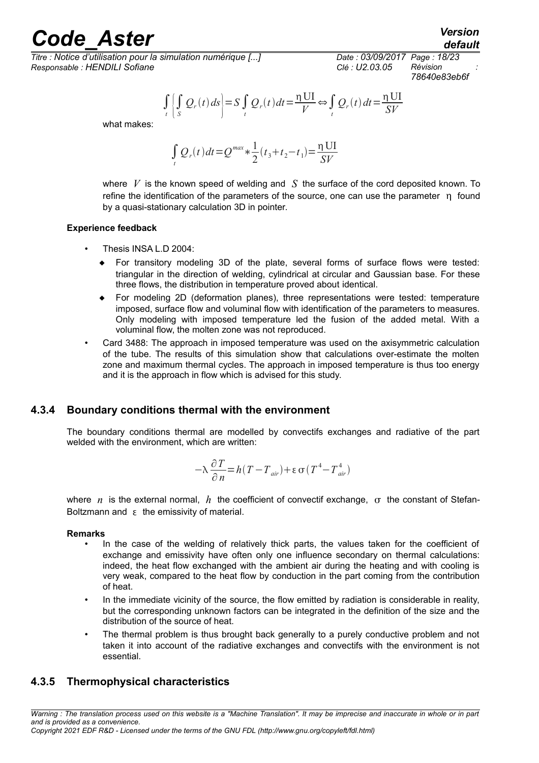*Titre : Notice d'utilisation pour la simulation numérique [...] Date : 03/09/2017 Page : 18/23 Responsable : HENDILI Sofiane Clé : U2.03.05 Révision :*

*78640e83eb6f*

 $\iint_{t}$  $Q_r(t) ds$  = *S* $\int_t$  $Q_r(t)dt = \frac{\eta \text{ UI}}{V}$  $\frac{U}{V}$  ⇔  $\int$ <sub>t</sub>  $Q_r(t) dt = \frac{\eta \text{ UI}}{\Omega V}$ *SV*

what makes:

$$
\int_{t} Q_r(t) dt = Q^{max} * \frac{1}{2} (t_3 + t_2 - t_1) = \frac{1}{2} \frac{U}{V}
$$

where *V* is the known speed of welding and *S* the surface of the cord deposited known. To refine the identification of the parameters of the source, one can use the parameter  $\eta$  found by a quasi-stationary calculation 3D in pointer.

### **Experience feedback**

- Thesis INSA L.D 2004:
	- For transitory modeling 3D of the plate, several forms of surface flows were tested: triangular in the direction of welding, cylindrical at circular and Gaussian base. For these three flows, the distribution in temperature proved about identical.
	- For modeling 2D (deformation planes), three representations were tested: temperature imposed, surface flow and voluminal flow with identification of the parameters to measures. Only modeling with imposed temperature led the fusion of the added metal. With a voluminal flow, the molten zone was not reproduced.
- Card 3488: The approach in imposed temperature was used on the axisymmetric calculation of the tube. The results of this simulation show that calculations over-estimate the molten zone and maximum thermal cycles. The approach in imposed temperature is thus too energy and it is the approach in flow which is advised for this study.

### **4.3.4 Boundary conditions thermal with the environment**

<span id="page-17-1"></span>The boundary conditions thermal are modelled by convectifs exchanges and radiative of the part welded with the environment, which are written:

$$
-\lambda \frac{\partial T}{\partial n} = h(T - T_{air}) + \epsilon \sigma (T^4 - T_{air}^4)
$$

where *n* is the external normal, *h* the coefficient of convectif exchange,  $\sigma$  the constant of Stefan-Boltzmann and  $\epsilon$  the emissivity of material.

### **Remarks**

- In the case of the welding of relatively thick parts, the values taken for the coefficient of exchange and emissivity have often only one influence secondary on thermal calculations: indeed, the heat flow exchanged with the ambient air during the heating and with cooling is very weak, compared to the heat flow by conduction in the part coming from the contribution of heat.
- In the immediate vicinity of the source, the flow emitted by radiation is considerable in reality, but the corresponding unknown factors can be integrated in the definition of the size and the distribution of the source of heat.
- The thermal problem is thus brought back generally to a purely conductive problem and not taken it into account of the radiative exchanges and convectifs with the environment is not essential.

### <span id="page-17-0"></span>**4.3.5 Thermophysical characteristics**

*Warning : The translation process used on this website is a "Machine Translation". It may be imprecise and inaccurate in whole or in part and is provided as a convenience.*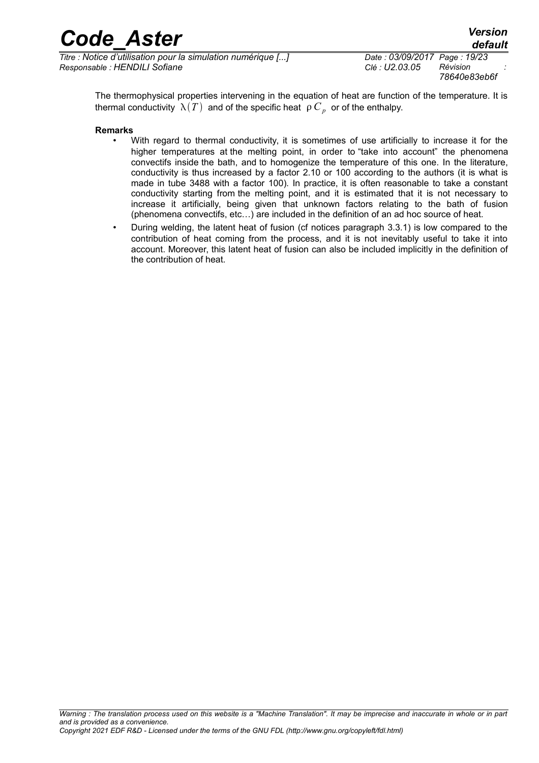| <b>Code Aster</b>                                              | <b>Version</b><br>default                 |
|----------------------------------------------------------------|-------------------------------------------|
| $Time$ Motice d'utilisation nour la simulation numérique [ $1$ | $Data \cdot 03/00/2017$ $Dao \cdot 10/23$ |

*Titre : Notice d'utilisation pour la simulation numérique [...] Date : 03/09/2017 Page : 19/23 Responsable : HENDILI Sofiane* 

*78640e83eb6f*

The thermophysical properties intervening in the equation of heat are function of the temperature. It is thermal conductivity  $|\lambda(T)|$  and of the specific heat  $|\rho|C_p|$  or of the enthalpy.

#### **Remarks**

- With regard to thermal conductivity, it is sometimes of use artificially to increase it for the higher temperatures at the melting point, in order to "take into account" the phenomena convectifs inside the bath, and to homogenize the temperature of this one. In the literature, conductivity is thus increased by a factor 2.10 or 100 according to the authors (it is what is made in tube 3488 with a factor 100). In practice, it is often reasonable to take a constant conductivity starting from the melting point, and it is estimated that it is not necessary to increase it artificially, being given that unknown factors relating to the bath of fusion (phenomena convectifs, etc…) are included in the definition of an ad hoc source of heat.
- During welding, the latent heat of fusion (cf notices paragraph 3.3.1) is low compared to the contribution of heat coming from the process, and it is not inevitably useful to take it into account. Moreover, this latent heat of fusion can also be included implicitly in the definition of the contribution of heat.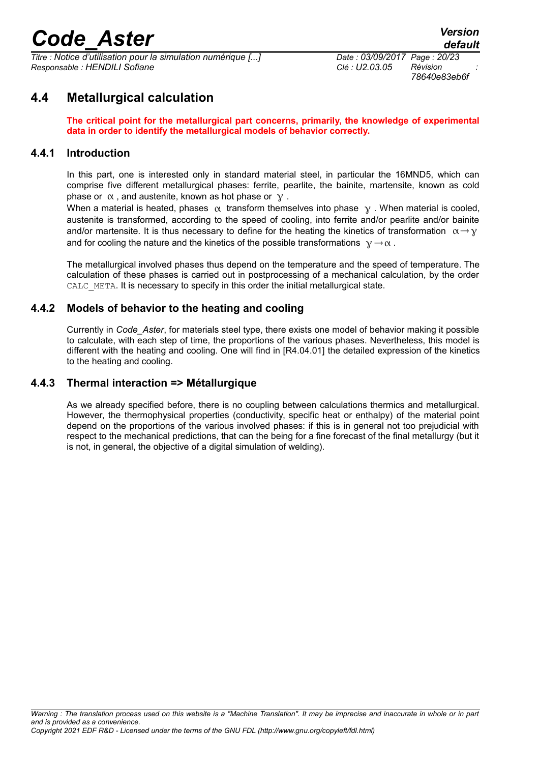*Titre : Notice d'utilisation pour la simulation numérique [...] Date : 03/09/2017 Page : 20/23 Responsable : HENDILI Sofiane Clé : U2.03.05 Révision :*

*78640e83eb6f*

# **4.4 Metallurgical calculation**

<span id="page-19-3"></span>**The critical point for the metallurgical part concerns, primarily, the knowledge of experimental data in order to identify the metallurgical models of behavior correctly.**

### **4.4.1 Introduction**

<span id="page-19-2"></span>In this part, one is interested only in standard material steel, in particular the 16MND5, which can comprise five different metallurgical phases: ferrite, pearlite, the bainite, martensite, known as cold phase or  $\alpha$ , and austenite, known as hot phase or  $\gamma$ .

When a material is heated, phases  $\alpha$  transform themselves into phase  $\gamma$ . When material is cooled, austenite is transformed, according to the speed of cooling, into ferrite and/or pearlite and/or bainite and/or martensite. It is thus necessary to define for the heating the kinetics of transformation  $\alpha \rightarrow \gamma$ and for cooling the nature and the kinetics of the possible transformations  $y \rightarrow \alpha$ .

The metallurgical involved phases thus depend on the temperature and the speed of temperature. The calculation of these phases is carried out in postprocessing of a mechanical calculation, by the order CALC META. It is necessary to specify in this order the initial metallurgical state.

### **4.4.2 Models of behavior to the heating and cooling**

<span id="page-19-1"></span>Currently in *Code\_Aster*, for materials steel type, there exists one model of behavior making it possible to calculate, with each step of time, the proportions of the various phases. Nevertheless, this model is different with the heating and cooling. One will find in [R4.04.01] the detailed expression of the kinetics to the heating and cooling.

### **4.4.3 Thermal interaction => Métallurgique**

<span id="page-19-0"></span>As we already specified before, there is no coupling between calculations thermics and metallurgical. However, the thermophysical properties (conductivity, specific heat or enthalpy) of the material point depend on the proportions of the various involved phases: if this is in general not too prejudicial with respect to the mechanical predictions, that can the being for a fine forecast of the final metallurgy (but it is not, in general, the objective of a digital simulation of welding).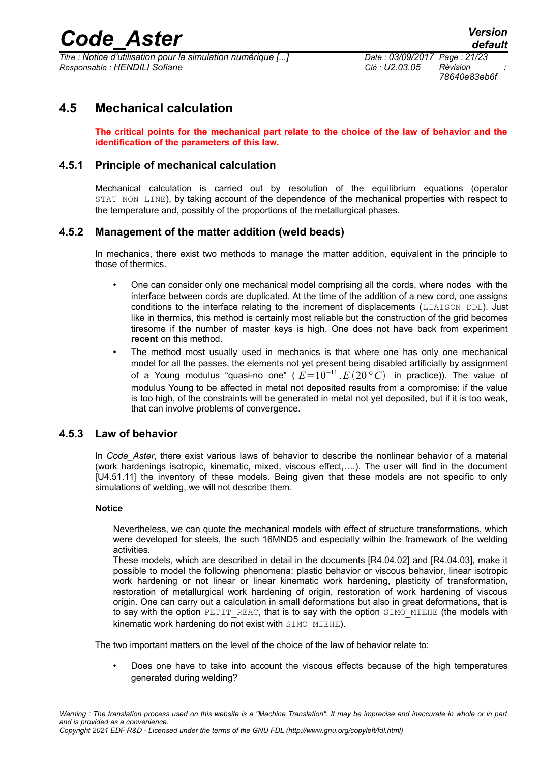*Titre : Notice d'utilisation pour la simulation numérique [...] Date : 03/09/2017 Page : 21/23 Responsable : HENDILI Sofiane Clé : U2.03.05 Révision :*

*78640e83eb6f*

# **4.5 Mechanical calculation**

<span id="page-20-3"></span>**The critical points for the mechanical part relate to the choice of the law of behavior and the identification of the parameters of this law.**

### **4.5.1 Principle of mechanical calculation**

<span id="page-20-2"></span>Mechanical calculation is carried out by resolution of the equilibrium equations (operator STAT\_NON\_LINE), by taking account of the dependence of the mechanical properties with respect to the temperature and, possibly of the proportions of the metallurgical phases.

### **4.5.2 Management of the matter addition (weld beads)**

<span id="page-20-1"></span>In mechanics, there exist two methods to manage the matter addition, equivalent in the principle to those of thermics.

- One can consider only one mechanical model comprising all the cords, where nodes with the interface between cords are duplicated. At the time of the addition of a new cord, one assigns conditions to the interface relating to the increment of displacements (LIAISON DDL). Just like in thermics, this method is certainly most reliable but the construction of the grid becomes tiresome if the number of master keys is high. One does not have back from experiment **recent** on this method.
- The method most usually used in mechanics is that where one has only one mechanical model for all the passes, the elements not yet present being disabled artificially by assignment of a Young modulus "quasi-no one" ( *E*=10<sup>−</sup><sup>11</sup> .*E* 20*° C* in practice)). The value of modulus Young to be affected in metal not deposited results from a compromise: if the value is too high, of the constraints will be generated in metal not yet deposited, but if it is too weak, that can involve problems of convergence.

### **4.5.3 Law of behavior**

<span id="page-20-0"></span>In *Code\_Aster*, there exist various laws of behavior to describe the nonlinear behavior of a material (work hardenings isotropic, kinematic, mixed, viscous effect,….). The user will find in the document [U4.51.11] the inventory of these models. Being given that these models are not specific to only simulations of welding, we will not describe them.

### **Notice**

Nevertheless, we can quote the mechanical models with effect of structure transformations, which were developed for steels, the such 16MND5 and especially within the framework of the welding activities.

These models, which are described in detail in the documents [R4.04.02] and [R4.04.03], make it possible to model the following phenomena: plastic behavior or viscous behavior, linear isotropic work hardening or not linear or linear kinematic work hardening, plasticity of transformation, restoration of metallurgical work hardening of origin, restoration of work hardening of viscous origin. One can carry out a calculation in small deformations but also in great deformations, that is to say with the option PETIT REAC, that is to say with the option SIMO MIEHE (the models with kinematic work hardening do not exist with SIMO\_MIEHE).

The two important matters on the level of the choice of the law of behavior relate to:

• Does one have to take into account the viscous effects because of the high temperatures generated during welding?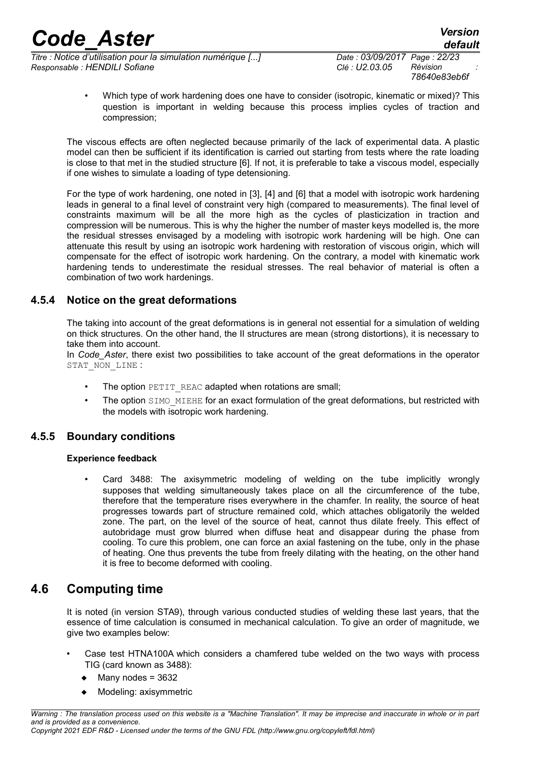*Titre : Notice d'utilisation pour la simulation numérique [...] Date : 03/09/2017 Page : 22/23 Responsable : HENDILI Sofiane Clé : U2.03.05 Révision :*

*78640e83eb6f*

• Which type of work hardening does one have to consider (isotropic, kinematic or mixed)? This question is important in welding because this process implies cycles of traction and compression;

The viscous effects are often neglected because primarily of the lack of experimental data. A plastic model can then be sufficient if its identification is carried out starting from tests where the rate loading is close to that met in the studied structure [6]. If not, it is preferable to take a viscous model, especially if one wishes to simulate a loading of type detensioning.

For the type of work hardening, one noted in [3], [4] and [6] that a model with isotropic work hardening leads in general to a final level of constraint very high (compared to measurements). The final level of constraints maximum will be all the more high as the cycles of plasticization in traction and compression will be numerous. This is why the higher the number of master keys modelled is, the more the residual stresses envisaged by a modeling with isotropic work hardening will be high. One can attenuate this result by using an isotropic work hardening with restoration of viscous origin, which will compensate for the effect of isotropic work hardening. On the contrary, a model with kinematic work hardening tends to underestimate the residual stresses. The real behavior of material is often a combination of two work hardenings.

### **4.5.4 Notice on the great deformations**

<span id="page-21-1"></span>The taking into account of the great deformations is in general not essential for a simulation of welding on thick structures. On the other hand, the II structures are mean (strong distortions), it is necessary to take them into account.

In *Code\_Aster*, there exist two possibilities to take account of the great deformations in the operator STAT\_NON\_LINE :

- The option PETIT\_REAC adapted when rotations are small;
- The option SIMO\_MIEHE for an exact formulation of the great deformations, but restricted with the models with isotropic work hardening.

### **4.5.5 Boundary conditions**

### <span id="page-21-0"></span>**Experience feedback**

Card 3488: The axisymmetric modeling of welding on the tube implicitly wrongly supposes that welding simultaneously takes place on all the circumference of the tube, therefore that the temperature rises everywhere in the chamfer. In reality, the source of heat progresses towards part of structure remained cold, which attaches obligatorily the welded zone. The part, on the level of the source of heat, cannot thus dilate freely. This effect of autobridage must grow blurred when diffuse heat and disappear during the phase from cooling. To cure this problem, one can force an axial fastening on the tube, only in the phase of heating. One thus prevents the tube from freely dilating with the heating, on the other hand it is free to become deformed with cooling.

## **4.6 Computing time**

<span id="page-21-2"></span>It is noted (in version STA9), through various conducted studies of welding these last years, that the essence of time calculation is consumed in mechanical calculation. To give an order of magnitude, we give two examples below:

- Case test HTNA100A which considers a chamfered tube welded on the two ways with process TIG (card known as 3488):
	- Many nodes = 3632
	- Modeling: axisymmetric